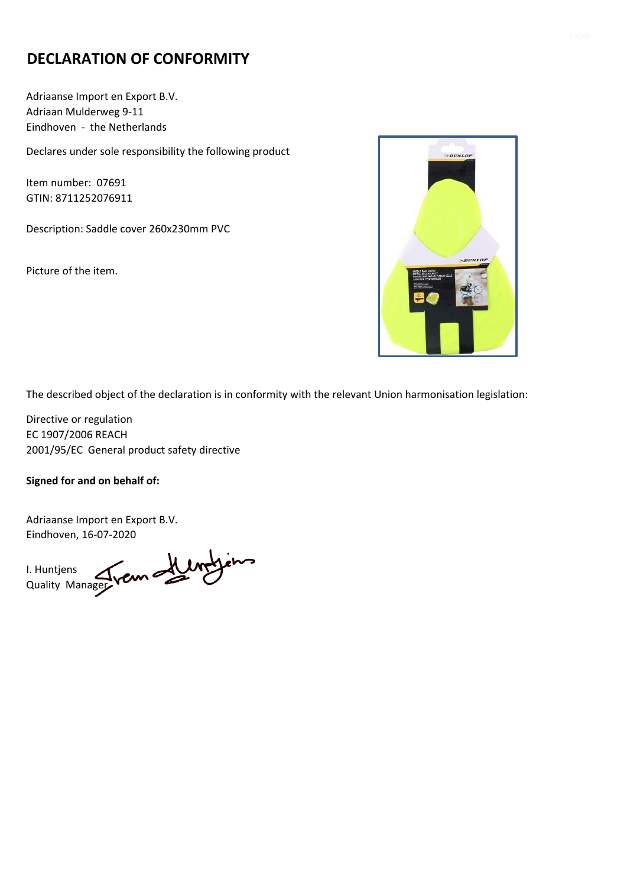## **DECLARATION OF CONFORMITY**

Adriaanse Import en Export B.V. Adriaan Mulderweg 9-11 Eindhoven - the Netherlands

Declares under sole responsibility the following product

Item number: 07691 GTIN: 8711252076911

Description: Saddle cover 260x230mm PVC

Picture of the item.



The described object of the declaration is in conformity with the relevant Union harmonisation legislation:

Directive or regulation EC 1907/2006 REACH 2001/95/EC General product safety directive

**Signed for and on behalf of:**

I. Huntjens Quality Manager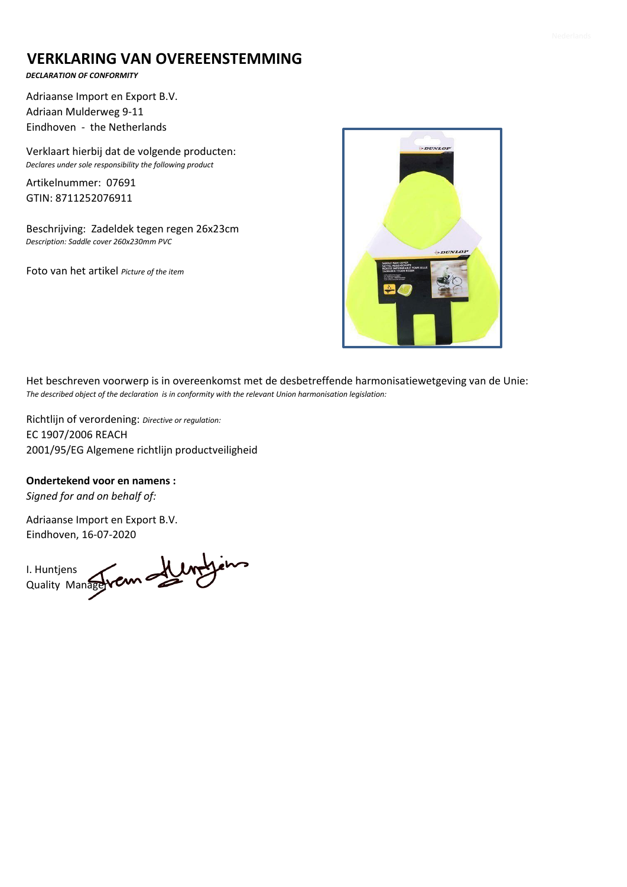### **VERKLARING VAN OVEREENSTEMMING**

#### *DECLARATION OF CONFORMITY*

Adriaanse Import en Export B.V. Adriaan Mulderweg 9-11 Eindhoven - the Netherlands

Verklaart hierbij dat de volgende producten: *Declares under sole responsibility the following product*

Artikelnummer: 07691 GTIN: 8711252076911

Beschrijving: Zadeldek tegen regen 26x23cm *Description: Saddle cover 260x230mm PVC* 

Foto van het artikel *Picture of the item*



Het beschreven voorwerp is in overeenkomst met de desbetreffende harmonisatiewetgeving van de Unie: *The described object of the declaration is in conformity with the relevant Union harmonisation legislation:*

Richtlijn of verordening: *Directive or regulation:* EC 1907/2006 REACH 2001/95/EG Algemene richtlijn productveiligheid

**Ondertekend voor en namens :**

*Signed for and on behalf of:*

I. Huntjens Quality Manager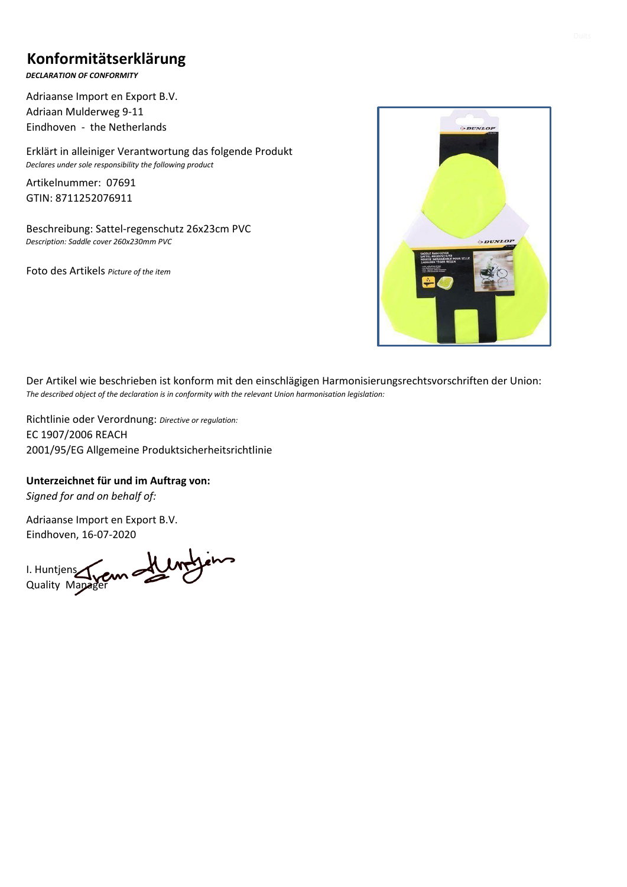## **Konformitätserklärung**

*DECLARATION OF CONFORMITY*

Adriaanse Import en Export B.V. Adriaan Mulderweg 9-11 Eindhoven - the Netherlands

Erklärt in alleiniger Verantwortung das folgende Produkt *Declares under sole responsibility the following product*

Artikelnummer: 07691 GTIN: 8711252076911

Beschreibung: Sattel-regenschutz 26x23cm PVC *Description: Saddle cover 260x230mm PVC* 

Foto des Artikels *Picture of the item*



Der Artikel wie beschrieben ist konform mit den einschlägigen Harmonisierungsrechtsvorschriften der Union: *The described object of the declaration is in conformity with the relevant Union harmonisation legislation:*

Richtlinie oder Verordnung: *Directive or regulation:* EC 1907/2006 REACH 2001/95/EG Allgemeine Produktsicherheitsrichtlinie

**Unterzeichnet für und im Auftrag von:**

*Signed for and on behalf of:*

I. Huntjens Quality Mapager